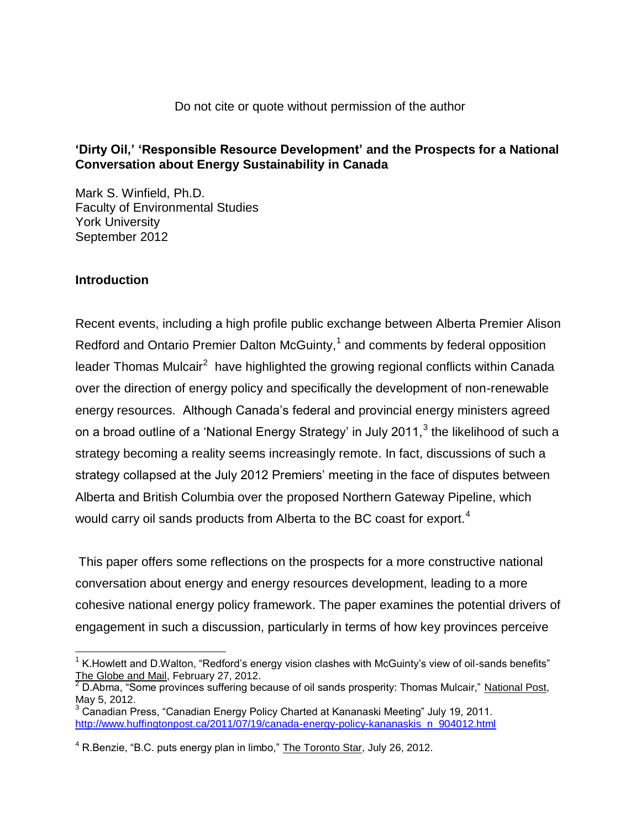### **'Dirty Oil,' 'Responsible Resource Development' and the Prospects for a National Conversation about Energy Sustainability in Canada**

Mark S. Winfield, Ph.D. Faculty of Environmental Studies York University September 2012

### **Introduction**

 $\overline{a}$ 

Recent events, including a high profile public exchange between Alberta Premier Alison Redford and Ontario Premier Dalton McGuinty, $1$  and comments by federal opposition leader Thomas Mulcair<sup>2</sup> have highlighted the growing regional conflicts within Canada over the direction of energy policy and specifically the development of non-renewable energy resources. Although Canada's federal and provincial energy ministers agreed on a broad outline of a 'National Energy Strategy' in July 2011, $^3$  the likelihood of such a strategy becoming a reality seems increasingly remote. In fact, discussions of such a strategy collapsed at the July 2012 Premiers' meeting in the face of disputes between Alberta and British Columbia over the proposed Northern Gateway Pipeline, which would carry oil sands products from Alberta to the BC coast for export.<sup>4</sup>

This paper offers some reflections on the prospects for a more constructive national conversation about energy and energy resources development, leading to a more cohesive national energy policy framework. The paper examines the potential drivers of engagement in such a discussion, particularly in terms of how key provinces perceive

 $1$  K. Howlett and D. Walton, "Redford's energy vision clashes with McGuinty's view of oil-sands benefits" The Globe and Mail, February 27, 2012.

 $2\overline{D}$ .Abma, "Some provinces suffering because of oil sands prosperity: Thomas Mulcair," National Post, May 5, 2012.

 $3$  Canadian Press, "Canadian Energy Policy Charted at Kananaski Meeting" July 19, 2011. [http://www.huffingtonpost.ca/2011/07/19/canada-energy-policy-kananaskis\\_n\\_904012.html](http://www.huffingtonpost.ca/2011/07/19/canada-energy-policy-kananaskis_n_904012.html)

 $4$  R.Benzie, "B.C. puts energy plan in limbo," The Toronto Star, July 26, 2012.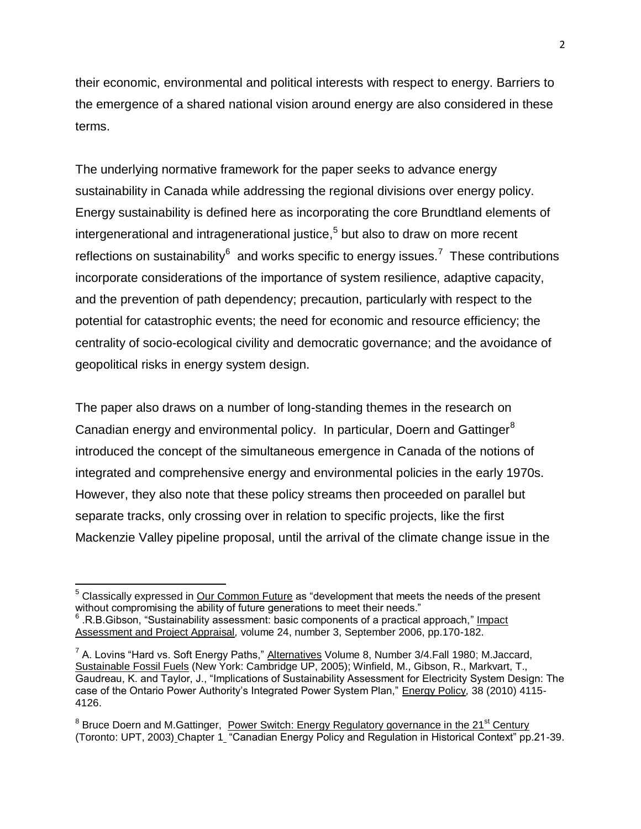their economic, environmental and political interests with respect to energy. Barriers to the emergence of a shared national vision around energy are also considered in these terms.

The underlying normative framework for the paper seeks to advance energy sustainability in Canada while addressing the regional divisions over energy policy. Energy sustainability is defined here as incorporating the core Brundtland elements of intergenerational and intragenerational justice, 5 but also to draw on more recent reflections on sustainability<sup>6</sup> and works specific to energy issues.<sup>7</sup> These contributions incorporate considerations of the importance of system resilience, adaptive capacity, and the prevention of path dependency; precaution, particularly with respect to the potential for catastrophic events; the need for economic and resource efficiency; the centrality of socio-ecological civility and democratic governance; and the avoidance of geopolitical risks in energy system design.

The paper also draws on a number of long-standing themes in the research on Canadian energy and environmental policy. In particular, Doern and Gattinger<sup>8</sup> introduced the concept of the simultaneous emergence in Canada of the notions of integrated and comprehensive energy and environmental policies in the early 1970s. However, they also note that these policy streams then proceeded on parallel but separate tracks, only crossing over in relation to specific projects, like the first Mackenzie Valley pipeline proposal, until the arrival of the climate change issue in the

l

<sup>5</sup> Classically expressed in Our Common Future as "development that meets the needs of the present without compromising the ability of future generations to meet their needs."

<sup>6</sup> .R.B.Gibson, "Sustainability assessment: basic components of a practical approach," Impact Assessment and Project Appraisal*,* volume 24, number 3, September 2006, pp.170-182.

<sup>&</sup>lt;sup>7</sup> A. Lovins "Hard vs. Soft Energy Paths," Alternatives Volume 8, Number 3/4. Fall 1980; M. Jaccard, Sustainable Fossil Fuels (New York: Cambridge UP, 2005); Winfield, M., Gibson, R., Markvart, T., Gaudreau, K. and Taylor, J., "Implications of Sustainability Assessment for Electricity System Design: The case of the Ontario Power Authority's Integrated Power System Plan," Energy Policy*,* 38 (2010) 4115- 4126.

<sup>&</sup>lt;sup>8</sup> Bruce Doern and M.Gattinger, Power Switch: Energy Regulatory governance in the 21<sup>st</sup> Century (Toronto: UPT, 2003) Chapter 1 "Canadian Energy Policy and Regulation in Historical Context" pp.21-39.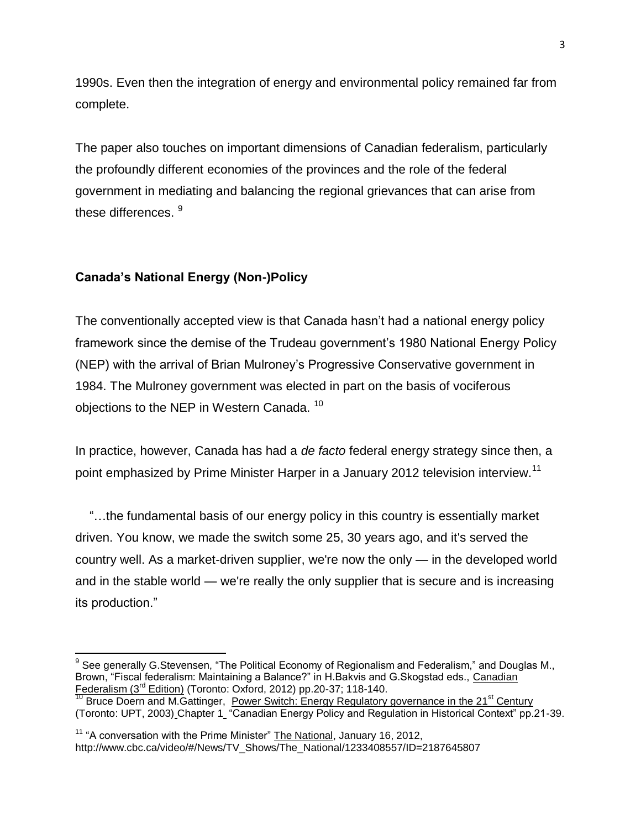1990s. Even then the integration of energy and environmental policy remained far from complete.

The paper also touches on important dimensions of Canadian federalism, particularly the profoundly different economies of the provinces and the role of the federal government in mediating and balancing the regional grievances that can arise from these differences.  $^9$ 

### **Canada's National Energy (Non-)Policy**

l

The conventionally accepted view is that Canada hasn't had a national energy policy framework since the demise of the Trudeau government's 1980 National Energy Policy (NEP) with the arrival of Brian Mulroney's Progressive Conservative government in 1984. The Mulroney government was elected in part on the basis of vociferous objections to the NEP in Western Canada.<sup>10</sup>

In practice, however, Canada has had a *de facto* federal energy strategy since then, a point emphasized by Prime Minister Harper in a January 2012 television interview.<sup>11</sup>

 "…the fundamental basis of our energy policy in this country is essentially market driven. You know, we made the switch some 25, 30 years ago, and it's served the country well. As a market-driven supplier, we're now the only — in the developed world and in the stable world — we're really the only supplier that is secure and is increasing its production."

 $9$  See generally G.Stevensen, "The Political Economy of Regionalism and Federalism," and Douglas M., Brown, "Fiscal federalism: Maintaining a Balance?" in H.Bakvis and G.Skogstad eds., Canadian Federalism (3<sup>rd</sup> Edition) (Toronto: Oxford, 2012) pp.20-37; 118-140.

Bruce Doern and M.Gattinger, Power Switch: Energy Regulatory governance in the 21<sup>st</sup> Century (Toronto: UPT, 2003) Chapter 1 "Canadian Energy Policy and Regulation in Historical Context" pp.21-39.

<sup>&</sup>lt;sup>11</sup> "A conversation with the Prime Minister" The National, January 16, 2012, http://www.cbc.ca/video/#/News/TV\_Shows/The\_National/1233408557/ID=2187645807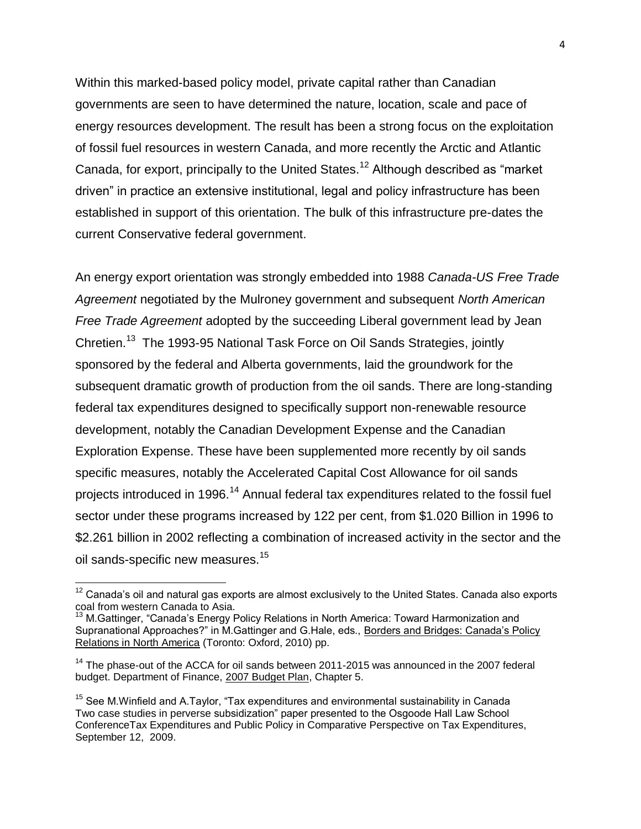Within this marked-based policy model, private capital rather than Canadian governments are seen to have determined the nature, location, scale and pace of energy resources development. The result has been a strong focus on the exploitation of fossil fuel resources in western Canada, and more recently the Arctic and Atlantic Canada, for export, principally to the United States.<sup>12</sup> Although described as "market driven" in practice an extensive institutional, legal and policy infrastructure has been established in support of this orientation. The bulk of this infrastructure pre-dates the current Conservative federal government.

An energy export orientation was strongly embedded into 1988 *Canada-US Free Trade Agreement* negotiated by the Mulroney government and subsequent *North American Free Trade Agreement* adopted by the succeeding Liberal government lead by Jean Chretien.<sup>13</sup> The 1993-95 National Task Force on Oil Sands Strategies, jointly sponsored by the federal and Alberta governments, laid the groundwork for the subsequent dramatic growth of production from the oil sands. There are long-standing federal tax expenditures designed to specifically support non-renewable resource development, notably the Canadian Development Expense and the Canadian Exploration Expense. These have been supplemented more recently by oil sands specific measures, notably the Accelerated Capital Cost Allowance for oil sands projects introduced in 1996.<sup>14</sup> Annual federal tax expenditures related to the fossil fuel sector under these programs increased by 122 per cent, from \$1.020 Billion in 1996 to \$2.261 billion in 2002 reflecting a combination of increased activity in the sector and the oil sands-specific new measures.<sup>15</sup>

 $\overline{a}$ 

 $12$  Canada's oil and natural gas exports are almost exclusively to the United States. Canada also exports coal from western Canada to Asia.

<sup>&</sup>lt;sup>13</sup> M.Gattinger, "Canada's Energy Policy Relations in North America: Toward Harmonization and Supranational Approaches?" in M.Gattinger and G.Hale, eds., Borders and Bridges: Canada's Policy Relations in North America (Toronto: Oxford, 2010) pp.

 $14$  The phase-out of the ACCA for oil sands between 2011-2015 was announced in the 2007 federal budget. Department of Finance, 2007 Budget Plan, Chapter 5.

 $15$  See M.Winfield and A.Taylor, "Tax expenditures and environmental sustainability in Canada Two case studies in perverse subsidization" paper presented to the Osgoode Hall Law School ConferenceTax Expenditures and Public Policy in Comparative Perspective on Tax Expenditures, September 12, 2009.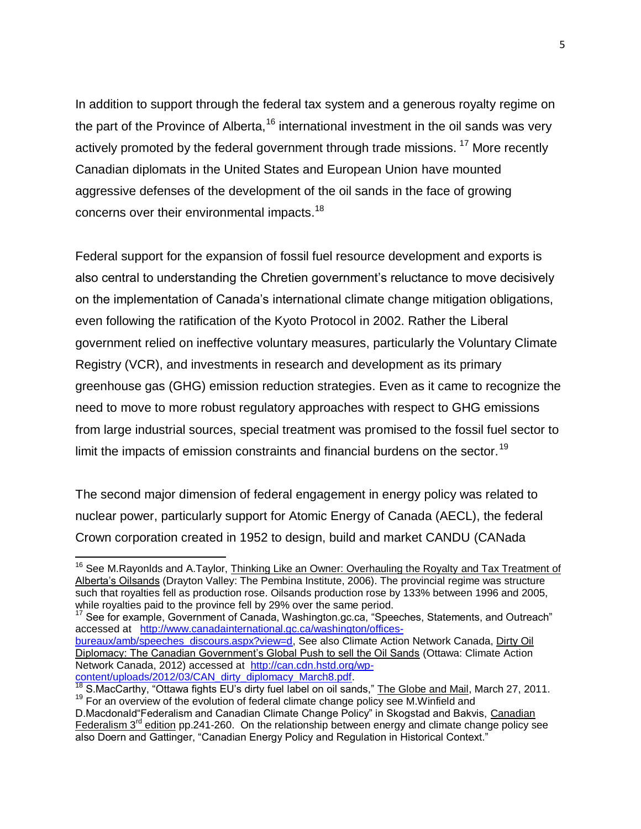In addition to support through the federal tax system and a generous royalty regime on the part of the Province of Alberta,<sup>16</sup> international investment in the oil sands was very actively promoted by the federal government through trade missions.<sup>17</sup> More recently Canadian diplomats in the United States and European Union have mounted aggressive defenses of the development of the oil sands in the face of growing concerns over their environmental impacts.<sup>18</sup>

Federal support for the expansion of fossil fuel resource development and exports is also central to understanding the Chretien government's reluctance to move decisively on the implementation of Canada's international climate change mitigation obligations, even following the ratification of the Kyoto Protocol in 2002. Rather the Liberal government relied on ineffective voluntary measures, particularly the Voluntary Climate Registry (VCR), and investments in research and development as its primary greenhouse gas (GHG) emission reduction strategies. Even as it came to recognize the need to move to more robust regulatory approaches with respect to GHG emissions from large industrial sources, special treatment was promised to the fossil fuel sector to limit the impacts of emission constraints and financial burdens on the sector.<sup>19</sup>

The second major dimension of federal engagement in energy policy was related to nuclear power, particularly support for Atomic Energy of Canada (AECL), the federal Crown corporation created in 1952 to design, build and market CANDU (CANada

[bureaux/amb/speeches\\_discours.aspx?view=d,](http://www.canadainternational.gc.ca/washington/offices-bureaux/amb/speeches_discours.aspx?view=d) See also Climate Action Network Canada, Dirty Oil Diplomacy: The Canadian Government's Global Push to sell the Oil Sands (Ottawa: Climate Action Network Canada, 2012) accessed at [http://can.cdn.hstd.org/wp](http://can.cdn.hstd.org/wp-content/uploads/2012/03/CAN_dirty_diplomacy_March8.pdf)[content/uploads/2012/03/CAN\\_dirty\\_diplomacy\\_March8.pdf.](http://can.cdn.hstd.org/wp-content/uploads/2012/03/CAN_dirty_diplomacy_March8.pdf)

 $\overline{a}$ <sup>16</sup> See M.Rayonlds and A.Taylor, Thinking Like an Owner: Overhauling the Royalty and Tax Treatment of Alberta's Oilsands (Drayton Valley: The Pembina Institute, 2006). The provincial regime was structure such that royalties fell as production rose. Oilsands production rose by 133% between 1996 and 2005, while royalties paid to the province fell by 29% over the same period.

<sup>17</sup> See for example, Government of Canada, Washington.gc.ca, "Speeches, Statements, and Outreach" accessed at [http://www.canadainternational.gc.ca/washington/offices-](http://www.canadainternational.gc.ca/washington/offices-bureaux/amb/speeches_discours.aspx?view=d)

<sup>&</sup>lt;sup>18</sup> S.MacCarthy, "Ottawa fights EU's dirty fuel label on oil sands," The Globe and Mail, March 27, 2011.  $19$  For an overview of the evolution of federal climate change policy see M. Winfield and

D.Macdonald "Federalism and Canadian Climate Change Policy" in Skogstad and Bakvis, Canadian Federalism  $3<sup>rd</sup>$  edition pp.241-260. On the relationship between energy and climate change policy see also Doern and Gattinger, "Canadian Energy Policy and Regulation in Historical Context."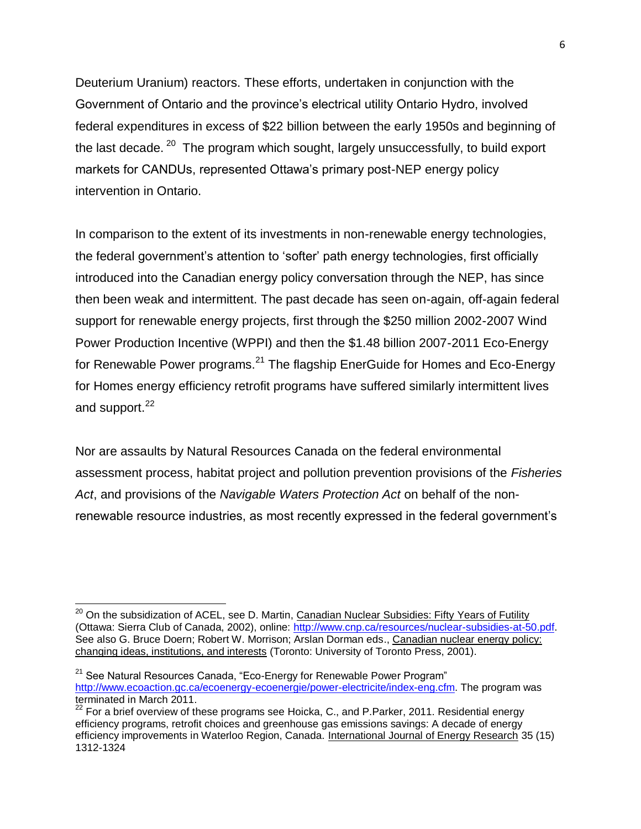Deuterium Uranium) reactors. These efforts, undertaken in conjunction with the Government of Ontario and the province's electrical utility Ontario Hydro, involved federal expenditures in excess of \$22 billion between the early 1950s and beginning of the last decade. <sup>20</sup> The program which sought, largely unsuccessfully, to build export markets for CANDUs, represented Ottawa's primary post-NEP energy policy intervention in Ontario.

In comparison to the extent of its investments in non-renewable energy technologies, the federal government's attention to 'softer' path energy technologies, first officially introduced into the Canadian energy policy conversation through the NEP, has since then been weak and intermittent. The past decade has seen on-again, off-again federal support for renewable energy projects, first through the \$250 million 2002-2007 Wind Power Production Incentive (WPPI) and then the \$1.48 billion 2007-2011 Eco-Energy for Renewable Power programs.<sup>21</sup> The flagship EnerGuide for Homes and Eco-Energy for Homes energy efficiency retrofit programs have suffered similarly intermittent lives and support.<sup>22</sup>

Nor are assaults by Natural Resources Canada on the federal environmental assessment process, habitat project and pollution prevention provisions of the *Fisheries Act*, and provisions of the *Navigable Waters Protection Act* on behalf of the nonrenewable resource industries, as most recently expressed in the federal government's

 $\overline{a}$ <sup>20</sup> On the subsidization of ACEL, see D. Martin, Canadian Nuclear Subsidies: Fifty Years of Futility (Ottawa: Sierra Club of Canada, 2002), online: [http://www.cnp.ca/resources/nuclear-subsidies-at-50.pdf.](http://www.cnp.ca/resources/nuclear-subsidies-at-50.pdf) See also G. Bruce Doern; Robert W. Morrison; Arslan Dorman eds., Canadian nuclear energy policy: [changing ideas, institutions, and interests](http://books.google.com/books?id=qUsjUono_3AC&pg=PP1) (Toronto: University of Toronto Press, 2001).

 $21$  See Natural Resources Canada, "Eco-Energy for Renewable Power Program" [http://www.ecoaction.gc.ca/ecoenergy-ecoenergie/power-electricite/index-eng.cfm.](http://www.ecoaction.gc.ca/ecoenergy-ecoenergie/power-electricite/index-eng.cfm) The program was terminated in March 2011.

 $22$  For a brief overview of these programs see Hoicka, C., and P. Parker, 2011. Residential energy efficiency programs, retrofit choices and greenhouse gas emissions savings: A decade of energy efficiency improvements in Waterloo Region, Canada. International Journal of Energy Research 35 (15) 1312-1324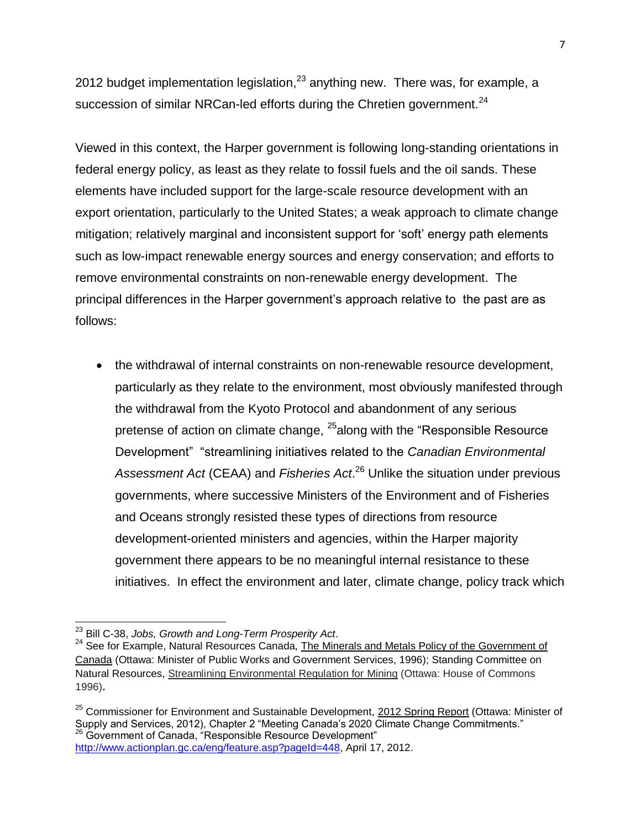2012 budget implementation legislation, $^{23}$  anything new. There was, for example, a succession of similar NRCan-led efforts during the Chretien government.<sup>24</sup>

Viewed in this context, the Harper government is following long-standing orientations in federal energy policy, as least as they relate to fossil fuels and the oil sands. These elements have included support for the large-scale resource development with an export orientation, particularly to the United States; a weak approach to climate change mitigation; relatively marginal and inconsistent support for 'soft' energy path elements such as low-impact renewable energy sources and energy conservation; and efforts to remove environmental constraints on non-renewable energy development. The principal differences in the Harper government's approach relative to the past are as follows:

• the withdrawal of internal constraints on non-renewable resource development, particularly as they relate to the environment, most obviously manifested through the withdrawal from the Kyoto Protocol and abandonment of any serious pretense of action on climate change, <sup>25</sup>along with the "Responsible Resource" Development" "streamlining initiatives related to the *Canadian Environmental Assessment Act* (CEAA) and *Fisheries Act*. <sup>26</sup> Unlike the situation under previous governments, where successive Ministers of the Environment and of Fisheries and Oceans strongly resisted these types of directions from resource development-oriented ministers and agencies, within the Harper majority government there appears to be no meaningful internal resistance to these initiatives. In effect the environment and later, climate change, policy track which

 $\overline{a}$ <sup>23</sup> Bill C-38, *Jobs, Growth and Long-Term Prosperity Act*.

<sup>&</sup>lt;sup>24</sup> See for Example, Natural Resources Canada, The Minerals and Metals Policy of the Government of Canada (Ottawa: Minister of Public Works and Government Services, 1996); Standing Committee on Natural Resources, Streamlining Environmental Regulation for Mining (Ottawa: House of Commons 1996)**.** 

<sup>&</sup>lt;sup>25</sup> Commissioner for Environment and Sustainable Development, 2012 Spring Report (Ottawa: Minister of Supply and Services, 2012), Chapter 2 "Meeting Canada's 2020 Climate Change Commitments."<br><sup>26</sup> Government of Canada "Dessaure" La C Government of Canada, "Responsible Resource Development" [http://www.actionplan.gc.ca/eng/feature.asp?pageId=448,](http://www.actionplan.gc.ca/eng/feature.asp?pageId=448) April 17, 2012.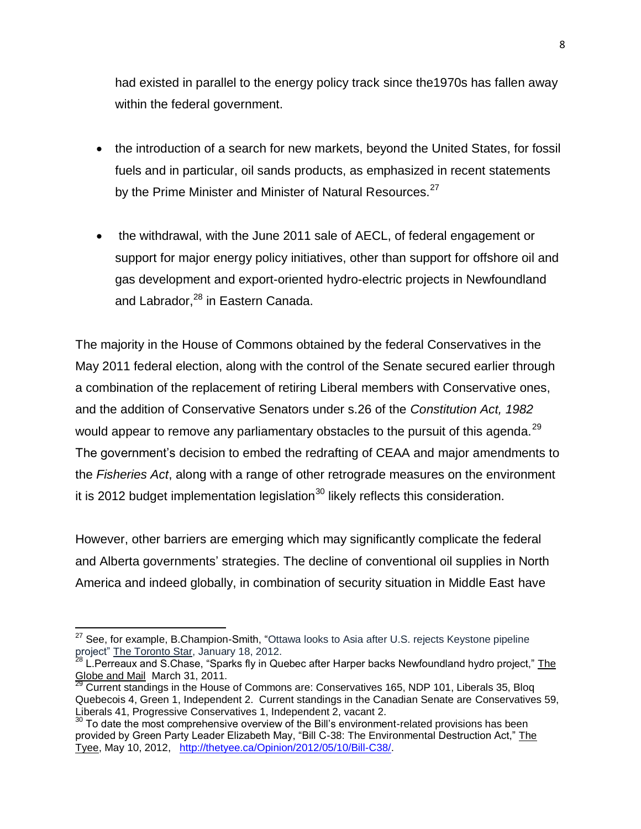had existed in parallel to the energy policy track since the1970s has fallen away within the federal government.

- the introduction of a search for new markets, beyond the United States, for fossil fuels and in particular, oil sands products, as emphasized in recent statements by the Prime Minister and Minister of Natural Resources.<sup>27</sup>
- the withdrawal, with the June 2011 sale of AECL, of federal engagement or support for major energy policy initiatives, other than support for offshore oil and gas development and export-oriented hydro-electric projects in Newfoundland and Labrador, <sup>28</sup> in Eastern Canada.

The majority in the House of Commons obtained by the federal Conservatives in the May 2011 federal election, along with the control of the Senate secured earlier through a combination of the replacement of retiring Liberal members with Conservative ones, and the addition of Conservative Senators under s.26 of the *Constitution Act, 1982* would appear to remove any parliamentary obstacles to the pursuit of this agenda.<sup>29</sup> The government's decision to embed the redrafting of CEAA and major amendments to the *Fisheries Act*, along with a range of other retrograde measures on the environment it is 2012 budget implementation legislation<sup>30</sup> likely reflects this consideration.

However, other barriers are emerging which may significantly complicate the federal and Alberta governments' strategies. The decline of conventional oil supplies in North America and indeed globally, in combination of security situation in Middle East have

j  $27$  See, for example, B.Champion-Smith, "Ottawa looks to Asia after U.S. rejects Keystone pipeline project" The Toronto Star, January 18, 2012.

L.Perreaux and S.Chase, "Sparks fly in Quebec after Harper backs Newfoundland hydro project," The Globe and Mail March 31, 2011.

 $^{29}$  Current standings in the House of Commons are: Conservatives 165, NDP 101, Liberals 35, Bloq Quebecois 4, Green 1, Independent 2. Current standings in the Canadian Senate are Conservatives 59, Liberals 41, Progressive Conservatives 1, Independent 2, vacant 2.

 $30$  To date the most comprehensive overview of the Bill's environment-related provisions has been provided by Green Party Leader Elizabeth May, "Bill C-38: The Environmental Destruction Act," The Tyee, May 10, 2012, [http://thetyee.ca/Opinion/2012/05/10/Bill-C38/.](http://thetyee.ca/Opinion/2012/05/10/Bill-C38/)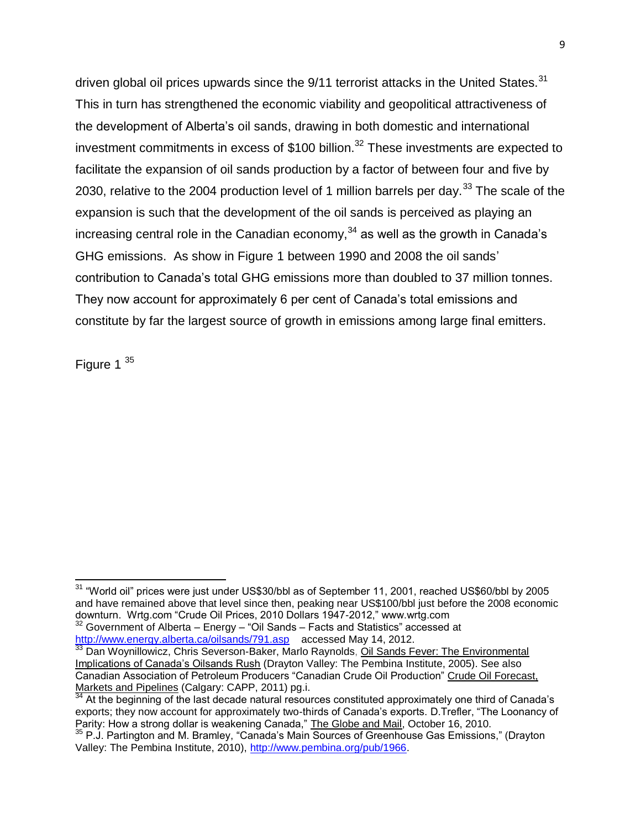driven global oil prices upwards since the 9/11 terrorist attacks in the United States.<sup>31</sup> This in turn has strengthened the economic viability and geopolitical attractiveness of the development of Alberta's oil sands, drawing in both domestic and international investment commitments in excess of  $$100$  billion.<sup>32</sup> These investments are expected to facilitate the expansion of oil sands production by a factor of between four and five by 2030, relative to the 2004 production level of 1 million barrels per day.<sup>33</sup> The scale of the expansion is such that the development of the oil sands is perceived as playing an increasing central role in the Canadian economy, $34$  as well as the growth in Canada's GHG emissions. As show in Figure 1 between 1990 and 2008 the oil sands' contribution to Canada's total GHG emissions more than doubled to 37 million tonnes. They now account for approximately 6 per cent of Canada's total emissions and constitute by far the largest source of growth in emissions among large final emitters.

Figure 1<sup>35</sup>

 $32$  Government of Alberta – Energy – "Oil Sands – Facts and Statistics" accessed at <http://www.energy.alberta.ca/oilsands/791.asp>accessed May 14, 2012.

 $\overline{\phantom{a}}$  $31$  "World oil" prices were just under US\$30/bbl as of September 11, 2001, reached US\$60/bbl by 2005 and have remained above that level since then, peaking near US\$100/bbl just before the 2008 economic downturn. Wrtg.com "Crude Oil Prices, 2010 Dollars 1947-2012," www.wrtg.com

<sup>&</sup>lt;sup>33</sup> [Dan Woynillowicz,](javascript:xContact(16);) [Chris Severson-Baker,](javascript:xContact(14);) [Marlo Raynolds,](javascript:xContact(42);) Oil Sands Fever: The Environmental Implications of Canada's Oilsands Rush (Drayton Valley: The Pembina Institute, 2005). See also Canadian Association of Petroleum Producers "Canadian Crude Oil Production" Crude Oil Forecast, Markets and Pipelines (Calgary: CAPP, 2011) pg.i.

 $34$  At the beginning of the last decade natural resources constituted approximately one third of Canada's exports; they now account for approximately two-thirds of Canada's exports. D.Trefler, "The Loonancy of Parity: How a strong dollar is weakening Canada," The Globe and Mail, October 16, 2010.

<sup>35</sup> P.J. Partington and M. Bramley, "Canada's Main Sources of Greenhouse Gas Emissions," (Drayton Valley: The Pembina Institute, 2010), [http://www.pembina.org/pub/1966.](http://www.pembina.org/pub/1966)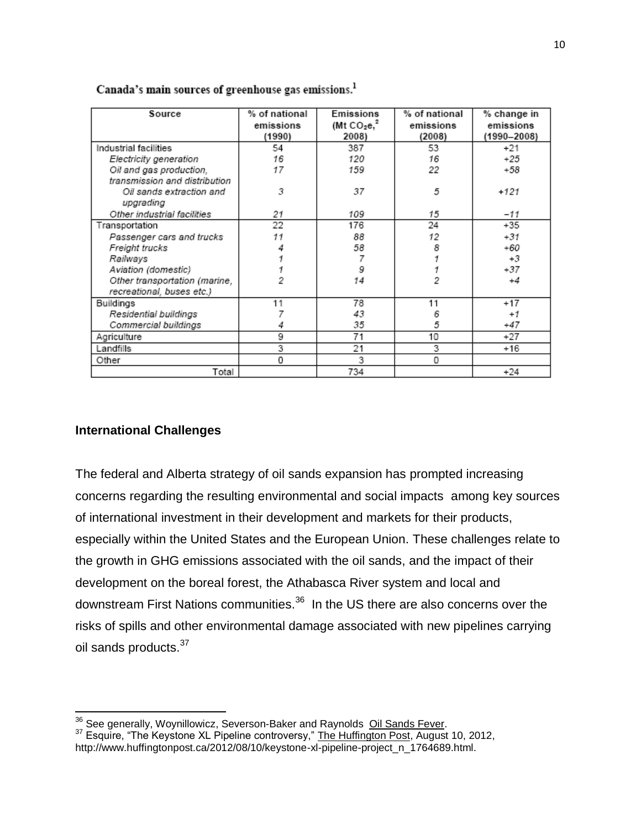| Source                        | % of national<br>emissions<br>(1990) | Emissions<br>(Mt $CO2e12$<br>2008) | % of national<br>emissions<br>(2008) | % change in<br>emissions<br>(1990-2008) |
|-------------------------------|--------------------------------------|------------------------------------|--------------------------------------|-----------------------------------------|
| Industrial facilities         | 54                                   | 387                                | 53                                   | $+21$                                   |
| Electricity generation        | 16                                   | 120                                | 16                                   | $+25$                                   |
| Oil and gas production,       | 17                                   | 159                                | 22                                   | +58                                     |
| transmission and distribution |                                      |                                    |                                      |                                         |
| Oil sands extraction and      | 3                                    | 37                                 | 5                                    | $+121$                                  |
| upgrading                     |                                      |                                    |                                      |                                         |
| Other industrial facilities   | 21                                   | 109                                | 15                                   | $-11$                                   |
| Transportation                | 22                                   | 176                                | 24                                   | $+35$                                   |
| Passenger cars and trucks     | 11                                   | 88                                 | 12                                   | $+31$                                   |
| Freight trucks                |                                      | 58                                 | 8                                    | +60                                     |
| Railways                      |                                      | 7                                  |                                      | $+3$                                    |
| Aviation (domestic)           |                                      | 9                                  |                                      | $+37$                                   |
| Other transportation (marine, |                                      | 14                                 | 2                                    | $+4$                                    |
| recreational, buses etc.)     |                                      |                                    |                                      |                                         |
| Buildings                     | 11                                   | 78                                 | 11                                   | $+17$                                   |
| Residential buildings         |                                      | 43                                 | 6                                    | $+1$                                    |
| Commercial buildings          |                                      | 35                                 | 5                                    | +47                                     |
| Agriculture                   | 9                                    | 71                                 | 10                                   | $+27$                                   |
| Landfills                     | 3                                    | 21                                 | 3                                    | +16                                     |
| Other                         | 0                                    | 3                                  | 0                                    |                                         |
| Total                         |                                      | 734                                |                                      | $+24$                                   |

#### Canada's main sources of greenhouse gas emissions.<sup>1</sup>

#### **International Challenges**

The federal and Alberta strategy of oil sands expansion has prompted increasing concerns regarding the resulting environmental and social impacts among key sources of international investment in their development and markets for their products, especially within the United States and the European Union. These challenges relate to the growth in GHG emissions associated with the oil sands, and the impact of their development on the boreal forest, the Athabasca River system and local and downstream First Nations communities.<sup>36</sup> In the US there are also concerns over the risks of spills and other environmental damage associated with new pipelines carrying oil sands products.<sup>37</sup>

 $\overline{a}$  $\frac{36}{2}$  [See generally, Woynillowicz,](javascript:xContact(16);) [Severson-Baker](javascript:xContact(14);) and Raynolds  $\frac{Oil$  Sands Fever.

<sup>&</sup>lt;sup>37</sup> Esquire, "The Keystone XL Pipeline controversy," The Huffington Post, August 10, 2012, http://www.huffingtonpost.ca/2012/08/10/keystone-xl-pipeline-project\_n\_1764689.html.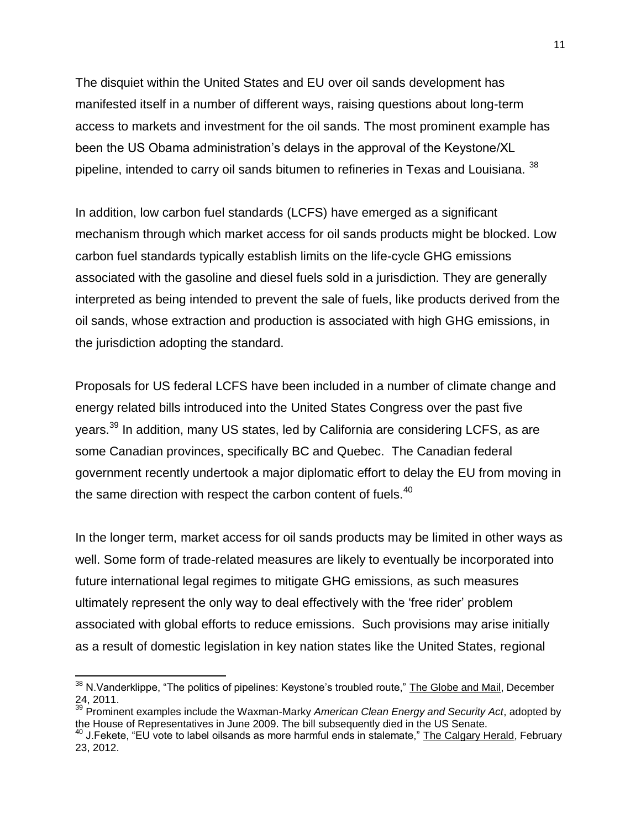The disquiet within the United States and EU over oil sands development has manifested itself in a number of different ways, raising questions about long-term access to markets and investment for the oil sands. The most prominent example has been the US Obama administration's delays in the approval of the Keystone/XL pipeline, intended to carry oil sands bitumen to refineries in Texas and Louisiana. <sup>38</sup>

In addition, low carbon fuel standards (LCFS) have emerged as a significant mechanism through which market access for oil sands products might be blocked. Low carbon fuel standards typically establish limits on the life-cycle GHG emissions associated with the gasoline and diesel fuels sold in a jurisdiction. They are generally interpreted as being intended to prevent the sale of fuels, like products derived from the oil sands, whose extraction and production is associated with high GHG emissions, in the jurisdiction adopting the standard.

Proposals for US federal LCFS have been included in a number of climate change and energy related bills introduced into the United States Congress over the past five years.<sup>39</sup> In addition, many US states, led by California are considering LCFS, as are some Canadian provinces, specifically BC and Quebec. The Canadian federal government recently undertook a major diplomatic effort to delay the EU from moving in the same direction with respect the carbon content of fuels.<sup>40</sup>

In the longer term, market access for oil sands products may be limited in other ways as well. Some form of trade-related measures are likely to eventually be incorporated into future international legal regimes to mitigate GHG emissions, as such measures ultimately represent the only way to deal effectively with the 'free rider' problem associated with global efforts to reduce emissions. Such provisions may arise initially as a result of domestic legislation in key nation states like the United States, regional

 $\overline{a}$ <sup>38</sup> N.Vanderklippe, "The politics of pipelines: Keystone's troubled route," The Globe and Mail, December 24, 2011.

<sup>39</sup> Prominent examples include the Waxman-Marky *American Clean Energy and Security Act*, adopted by the House of Representatives in June 2009. The bill subsequently died in the US Senate.

<sup>&</sup>lt;sup>40</sup> J.Fekete, "EU vote to label oilsands as more harmful ends in stalemate," The Calgary Herald, February 23, 2012.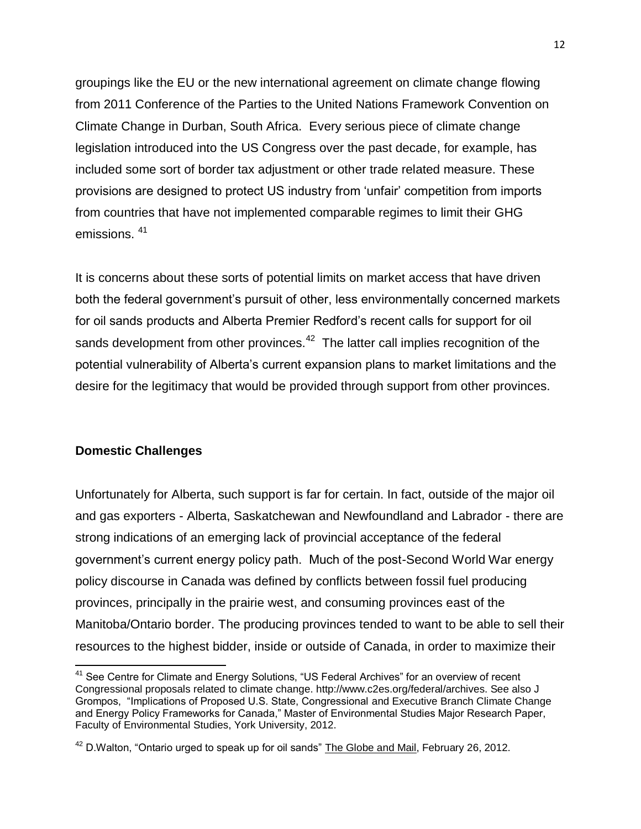groupings like the EU or the new international agreement on climate change flowing from 2011 Conference of the Parties to the United Nations Framework Convention on Climate Change in Durban, South Africa. Every serious piece of climate change legislation introduced into the US Congress over the past decade, for example, has included some sort of border tax adjustment or other trade related measure. These provisions are designed to protect US industry from 'unfair' competition from imports from countries that have not implemented comparable regimes to limit their GHG emissions. <sup>41</sup>

It is concerns about these sorts of potential limits on market access that have driven both the federal government's pursuit of other, less environmentally concerned markets for oil sands products and Alberta Premier Redford's recent calls for support for oil sands development from other provinces.<sup>42</sup> The latter call implies recognition of the potential vulnerability of Alberta's current expansion plans to market limitations and the desire for the legitimacy that would be provided through support from other provinces.

#### **Domestic Challenges**

Unfortunately for Alberta, such support is far for certain. In fact, outside of the major oil and gas exporters - Alberta, Saskatchewan and Newfoundland and Labrador - there are strong indications of an emerging lack of provincial acceptance of the federal government's current energy policy path. Much of the post-Second World War energy policy discourse in Canada was defined by conflicts between fossil fuel producing provinces, principally in the prairie west, and consuming provinces east of the Manitoba/Ontario border. The producing provinces tended to want to be able to sell their resources to the highest bidder, inside or outside of Canada, in order to maximize their

 $\overline{\phantom{a}}$  $41$  See Centre for Climate and Energy Solutions, "US Federal Archives" for an overview of recent Congressional proposals related to climate change. http://www.c2es.org/federal/archives. See also J Grompos, "Implications of Proposed U.S. State, Congressional and Executive Branch Climate Change and Energy Policy Frameworks for Canada," Master of Environmental Studies Major Research Paper, Faculty of Environmental Studies, York University, 2012.

 $^{42}$  D.Walton, "Ontario urged to speak up for oil sands" The Globe and Mail, February 26, 2012.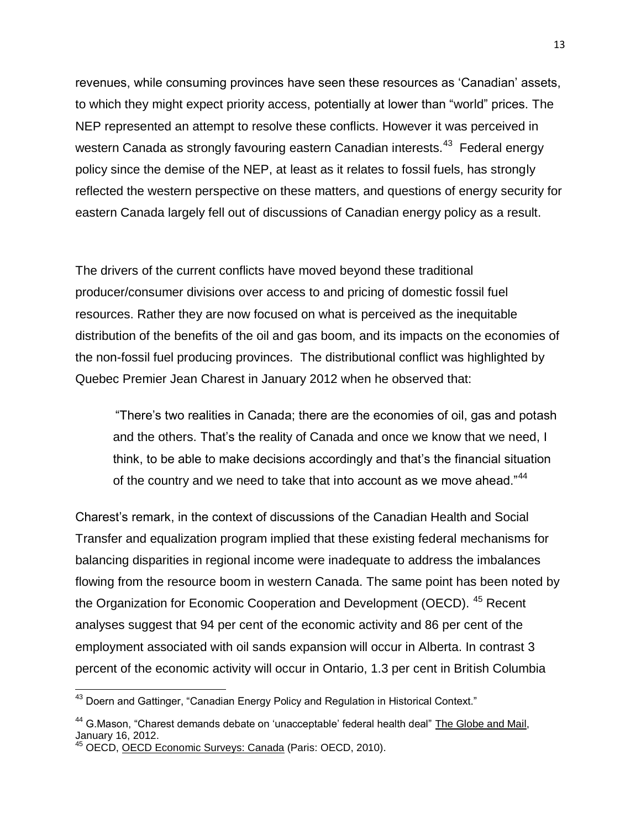revenues, while consuming provinces have seen these resources as 'Canadian' assets, to which they might expect priority access, potentially at lower than "world" prices. The NEP represented an attempt to resolve these conflicts. However it was perceived in western Canada as strongly favouring eastern Canadian interests.<sup>43</sup> Federal energy policy since the demise of the NEP, at least as it relates to fossil fuels, has strongly reflected the western perspective on these matters, and questions of energy security for eastern Canada largely fell out of discussions of Canadian energy policy as a result.

The drivers of the current conflicts have moved beyond these traditional producer/consumer divisions over access to and pricing of domestic fossil fuel resources. Rather they are now focused on what is perceived as the inequitable distribution of the benefits of the oil and gas boom, and its impacts on the economies of the non-fossil fuel producing provinces. The distributional conflict was highlighted by Quebec Premier Jean Charest in January 2012 when he observed that:

"There's two realities in Canada; there are the economies of oil, gas and potash and the others. That's the reality of Canada and once we know that we need, I think, to be able to make decisions accordingly and that's the financial situation of the country and we need to take that into account as we move ahead."<sup>44</sup>

Charest's remark, in the context of discussions of the Canadian Health and Social Transfer and equalization program implied that these existing federal mechanisms for balancing disparities in regional income were inadequate to address the imbalances flowing from the resource boom in western Canada. The same point has been noted by the Organization for Economic Cooperation and Development (OECD). <sup>45</sup> Recent analyses suggest that 94 per cent of the economic activity and 86 per cent of the employment associated with oil sands expansion will occur in Alberta. In contrast 3 percent of the economic activity will occur in Ontario, 1.3 per cent in British Columbia

 $\overline{\phantom{a}}$ 

 $43$  Doern and Gattinger, "Canadian Energy Policy and Regulation in Historical Context."

<sup>&</sup>lt;sup>44</sup> G.Mason, "Charest demands debate on 'unacceptable' federal health deal" The Globe and Mail, January 16, 2012.

<sup>&</sup>lt;sup>45</sup> OECD, OECD Economic Surveys: Canada (Paris: OECD, 2010).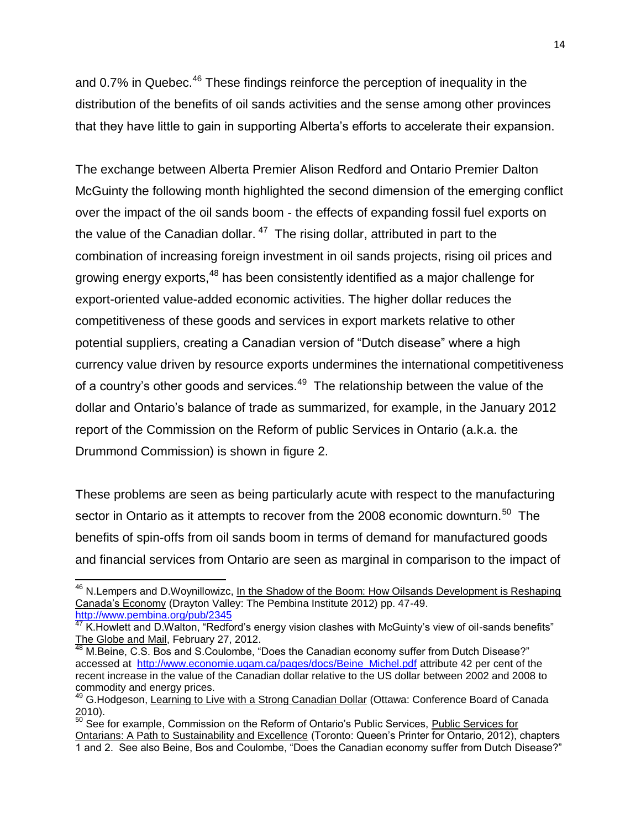and 0.7% in Quebec.<sup>46</sup> These findings reinforce the perception of inequality in the distribution of the benefits of oil sands activities and the sense among other provinces that they have little to gain in supporting Alberta's efforts to accelerate their expansion.

The exchange between Alberta Premier Alison Redford and Ontario Premier Dalton McGuinty the following month highlighted the second dimension of the emerging conflict over the impact of the oil sands boom - the effects of expanding fossil fuel exports on the value of the Canadian dollar.  $47$  The rising dollar, attributed in part to the combination of increasing foreign investment in oil sands projects, rising oil prices and growing energy exports,<sup>48</sup> has been consistently identified as a major challenge for export-oriented value-added economic activities. The higher dollar reduces the competitiveness of these goods and services in export markets relative to other potential suppliers, creating a Canadian version of "Dutch disease" where a high currency value driven by resource exports undermines the international competitiveness of a country's other goods and services.<sup>49</sup> The relationship between the value of the dollar and Ontario's balance of trade as summarized, for example, in the January 2012 report of the Commission on the Reform of public Services in Ontario (a.k.a. the Drummond Commission) is shown in figure 2.

These problems are seen as being particularly acute with respect to the manufacturing sector in Ontario as it attempts to recover from the 2008 economic downturn.<sup>50</sup> The benefits of spin-offs from oil sands boom in terms of demand for manufactured goods and financial services from Ontario are seen as marginal in comparison to the impact of

 $\overline{\phantom{a}}$ 

<sup>&</sup>lt;sup>46</sup> N.Lempers and D.Woynillowizc, <u>In the Shadow of the Boom: How Oilsands Development is Reshaping</u> Canada's Economy (Drayton Valley: The Pembina Institute 2012) pp. 47-49. <http://www.pembina.org/pub/2345>

 $47$  K.Howlett and D.Walton, "Redford's energy vision clashes with McGuinty's view of oil-sands benefits" The Globe and Mail, February 27, 2012.

M.Beine, C.S. Bos and S.Coulombe, "Does the Canadian economy suffer from Dutch Disease?" accessed at [http://www.economie.uqam.ca/pages/docs/Beine\\_Michel.pdf](http://www.economie.uqam.ca/pages/docs/Beine_Michel.pdf) attribute 42 per cent of the recent increase in the value of the Canadian dollar relative to the US dollar between 2002 and 2008 to commodity and energy prices.

<sup>49</sup> G.Hodgeson, Learning to Live with a Strong Canadian Dollar (Ottawa: Conference Board of Canada 2010).

 $50^{\circ}$  See for example, Commission on the Reform of Ontario's Public Services, Public Services for Ontarians: A Path to Sustainability and Excellence (Toronto: Queen's Printer for Ontario, 2012), chapters 1 and 2. See also Beine, Bos and Coulombe, "Does the Canadian economy suffer from Dutch Disease?"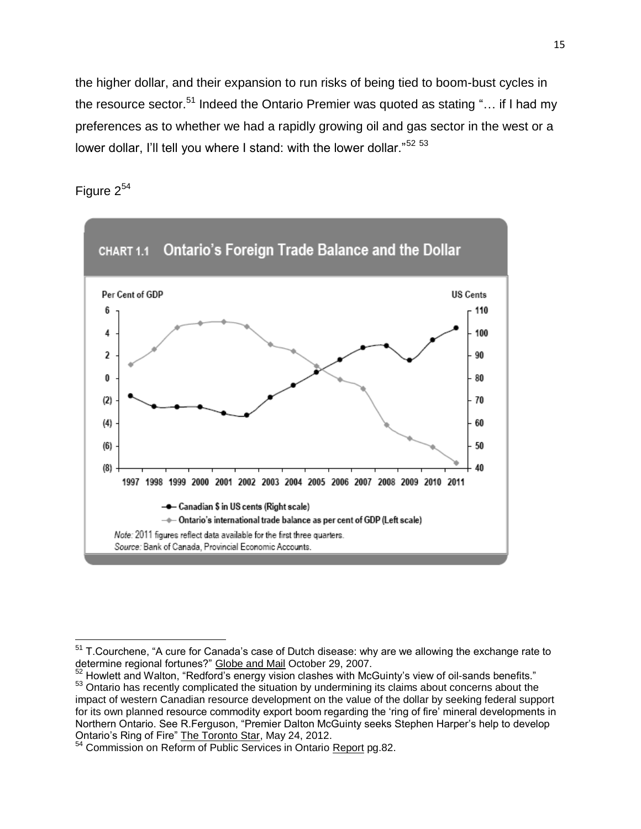the higher dollar, and their expansion to run risks of being tied to boom-bust cycles in the resource sector.<sup>51</sup> Indeed the Ontario Premier was quoted as stating "... if I had my preferences as to whether we had a rapidly growing oil and gas sector in the west or a lower dollar, I'll tell you where I stand: with the lower dollar."<sup>52 53</sup>

Figure  $2^{54}$ 

 $\overline{a}$ 



 $51$  T.Courchene, "A cure for Canada's case of Dutch disease: why are we allowing the exchange rate to determine regional fortunes?" Globe and Mail October 29, 2007.

 $52$  Howlett and Walton, "Redford's energy vision clashes with McGuinty's view of oil-sands benefits." 53 Ontario has recently complicated the situation by undermining its claims about concerns about the impact of western Canadian resource development on the value of the dollar by seeking federal support for its own planned resource commodity export boom regarding the 'ring of fire' mineral developments in Northern Ontario. See R.Ferguson, "Premier Dalton McGuinty seeks Stephen Harper's help to develop Ontario's Ring of Fire" The Toronto Star, May 24, 2012.

<sup>&</sup>lt;sup>54</sup> Commission on Reform of Public Services in Ontario Report pg.82.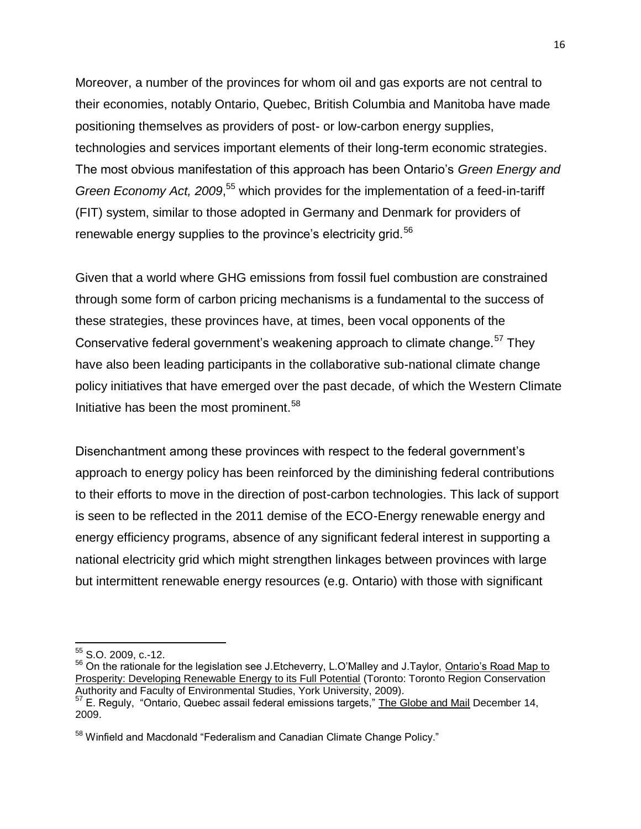Moreover, a number of the provinces for whom oil and gas exports are not central to their economies, notably Ontario, Quebec, British Columbia and Manitoba have made positioning themselves as providers of post- or low-carbon energy supplies, technologies and services important elements of their long-term economic strategies. The most obvious manifestation of this approach has been Ontario's *Green Energy and Green Economy Act, 2009*, <sup>55</sup> which provides for the implementation of a feed-in-tariff (FIT) system, similar to those adopted in Germany and Denmark for providers of renewable energy supplies to the province's electricity grid.<sup>56</sup>

Given that a world where GHG emissions from fossil fuel combustion are constrained through some form of carbon pricing mechanisms is a fundamental to the success of these strategies, these provinces have, at times, been vocal opponents of the Conservative federal government's weakening approach to climate change.<sup>57</sup> They have also been leading participants in the collaborative sub-national climate change policy initiatives that have emerged over the past decade, of which the Western Climate Initiative has been the most prominent. $58$ 

Disenchantment among these provinces with respect to the federal government's approach to energy policy has been reinforced by the diminishing federal contributions to their efforts to move in the direction of post-carbon technologies. This lack of support is seen to be reflected in the 2011 demise of the ECO-Energy renewable energy and energy efficiency programs, absence of any significant federal interest in supporting a national electricity grid which might strengthen linkages between provinces with large but intermittent renewable energy resources (e.g. Ontario) with those with significant

 $\overline{a}$ 

 $\frac{55}{1}$  S.O. 2009, c.-12.

<sup>&</sup>lt;sup>56</sup> On the rationale for the legislation see J. Etcheverry, L. O'Malley and J. Taylor, Ontario's Road Map to Prosperity: Developing Renewable Energy to its Full Potential (Toronto: Toronto Region Conservation Authority and Faculty of Environmental Studies, York University, 2009). 57 E. Reguly, "Ontario, Quebec assail federal emissions targets," The Globe and Mail December 14,

<sup>2009.</sup> 

<sup>&</sup>lt;sup>58</sup> Winfield and Macdonald "Federalism and Canadian Climate Change Policy."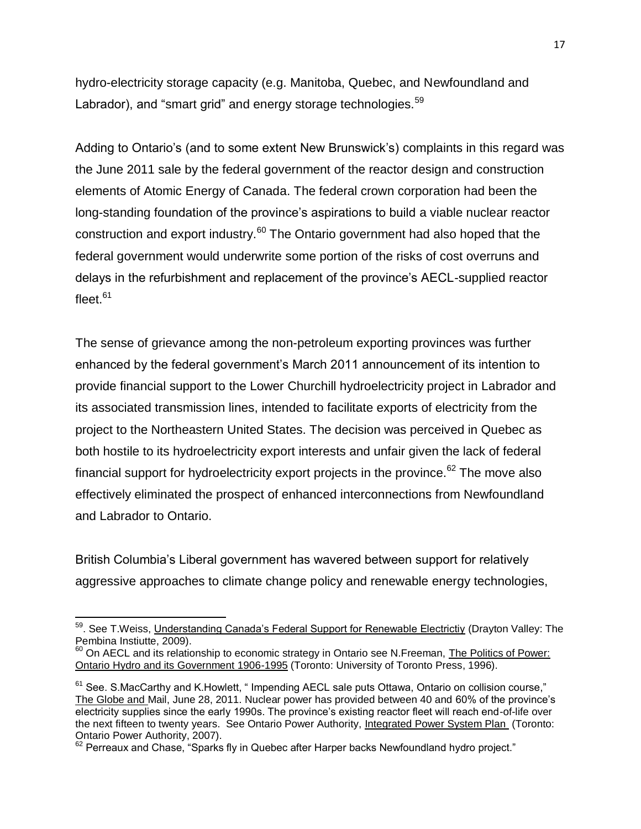hydro-electricity storage capacity (e.g. Manitoba, Quebec, and Newfoundland and Labrador), and "smart grid" and energy storage technologies.<sup>59</sup>

Adding to Ontario's (and to some extent New Brunswick's) complaints in this regard was the June 2011 sale by the federal government of the reactor design and construction elements of Atomic Energy of Canada. The federal crown corporation had been the long-standing foundation of the province's aspirations to build a viable nuclear reactor construction and export industry.<sup>60</sup> The Ontario government had also hoped that the federal government would underwrite some portion of the risks of cost overruns and delays in the refurbishment and replacement of the province's AECL-supplied reactor fleet. $^{\rm 61}$ 

The sense of grievance among the non-petroleum exporting provinces was further enhanced by the federal government's March 2011 announcement of its intention to provide financial support to the Lower Churchill hydroelectricity project in Labrador and its associated transmission lines, intended to facilitate exports of electricity from the project to the Northeastern United States. The decision was perceived in Quebec as both hostile to its hydroelectricity export interests and unfair given the lack of federal financial support for hydroelectricity export projects in the province.<sup>62</sup> The move also effectively eliminated the prospect of enhanced interconnections from Newfoundland and Labrador to Ontario.

British Columbia's Liberal government has wavered between support for relatively aggressive approaches to climate change policy and renewable energy technologies,

 $\overline{\phantom{a}}$ <sup>59</sup>. See T.Weiss, <u>Understanding Canada's Federal Support for Renewable Electrictiy</u> (Drayton Valley: The Pembina Instiutte, 2009).

<sup>&</sup>lt;sup>60</sup> On AECL and its relationship to economic strategy in Ontario see N. Freeman, The Politics of Power: Ontario Hydro and its Government 1906-1995 (Toronto: University of Toronto Press, 1996).

 $61$  See. S.MacCarthy and K.Howlett,  $\degree$  Impending AECL sale puts Ottawa, Ontario on collision course," The Globe and Mail, June 28, 2011. Nuclear power has provided between 40 and 60% of the province's electricity supplies since the early 1990s. The province's existing reactor fleet will reach end-of-life over the next fifteen to twenty years. See Ontario Power Authority, Integrated Power System Plan (Toronto: Ontario Power Authority, 2007).

 $62$  Perreaux and Chase, "Sparks fly in Quebec after Harper backs Newfoundland hydro project."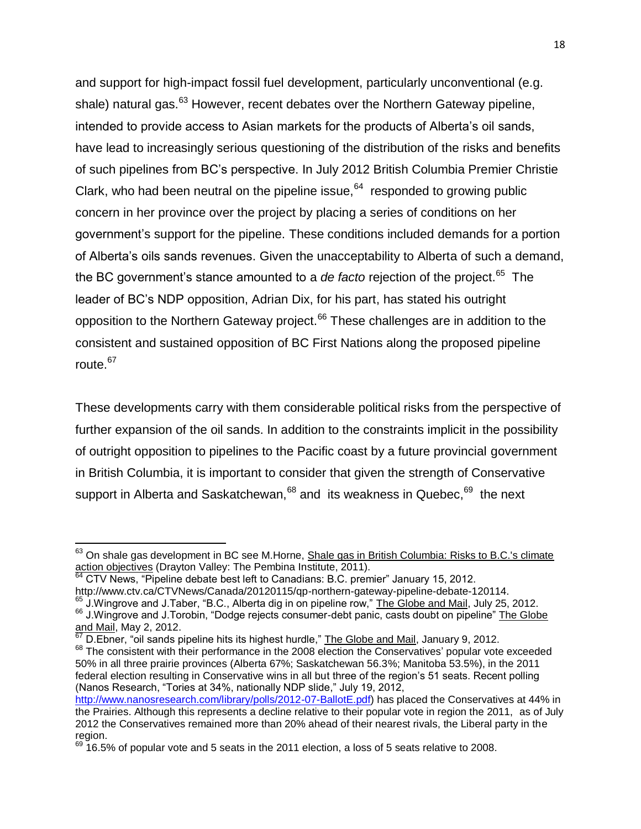and support for high-impact fossil fuel development, particularly unconventional (e.g. shale) natural gas.<sup>63</sup> However, recent debates over the Northern Gateway pipeline, intended to provide access to Asian markets for the products of Alberta's oil sands, have lead to increasingly serious questioning of the distribution of the risks and benefits of such pipelines from BC's perspective. In July 2012 British Columbia Premier Christie Clark, who had been neutral on the pipeline issue,  $64$  responded to growing public concern in her province over the project by placing a series of conditions on her government's support for the pipeline. These conditions included demands for a portion of Alberta's oils sands revenues. Given the unacceptability to Alberta of such a demand, the BC government's stance amounted to a *de facto* rejection of the project.<sup>65</sup> The leader of BC's NDP opposition, Adrian Dix, for his part, has stated his outright opposition to the Northern Gateway project.<sup>66</sup> These challenges are in addition to the consistent and sustained opposition of BC First Nations along the proposed pipeline route.<sup>67</sup>

These developments carry with them considerable political risks from the perspective of further expansion of the oil sands. In addition to the constraints implicit in the possibility of outright opposition to pipelines to the Pacific coast by a future provincial government in British Columbia, it is important to consider that given the strength of Conservative support in Alberta and Saskatchewan,  $68$  and its weakness in Quebec,  $69$  the next

j

 $\frac{67}{2}$  D.Ebner, "oil sands pipeline hits its highest hurdle," The Globe and Mail, January 9, 2012. <sup>68</sup> The consistent with their performance in the 2008 election the Conservatives' popular vote exceeded 50% in all three prairie provinces (Alberta 67%; Saskatchewan 56.3%; Manitoba 53.5%), in the 2011 federal election resulting in Conservative wins in all but three of the region's 51 seats. Recent polling (Nanos Research, "Tories at 34%, nationally NDP slide," July 19, 2012,

 $^{63}$  On shale gas development in BC see M.Horne,  $\frac{\text{Shale}}{\text{gas}}$  in British Columbia: Risks to B.C.'s climate action objectives (Drayton Valley: The Pembina Institute, 2011).

 $64$  CTV News, "Pipeline debate best left to Canadians: B.C. premier" January 15, 2012.

http://www.ctv.ca/CTVNews/Canada/20120115/qp-northern-gateway-pipeline-debate-120114.

<sup>&</sup>lt;sup>65</sup> J.Wingrove and J.Taber, "B.C., Alberta dig in on pipeline row," The Globe and Mail, July 25, 2012. 66 J.Wingrove and J.Torobin, "Dodge rejects consumer-debt panic, casts doubt on pipeline" The Globe and Mail, May 2, 2012.

[http://www.nanosresearch.com/library/polls/2012-07-BallotE.pdf\)](http://www.nanosresearch.com/library/polls/2012-07-BallotE.pdf) has placed the Conservatives at 44% in the Prairies. Although this represents a decline relative to their popular vote in region the 2011, as of July 2012 the Conservatives remained more than 20% ahead of their nearest rivals, the Liberal party in the region.

 $^{69}$  16.5% of popular vote and 5 seats in the 2011 election, a loss of 5 seats relative to 2008.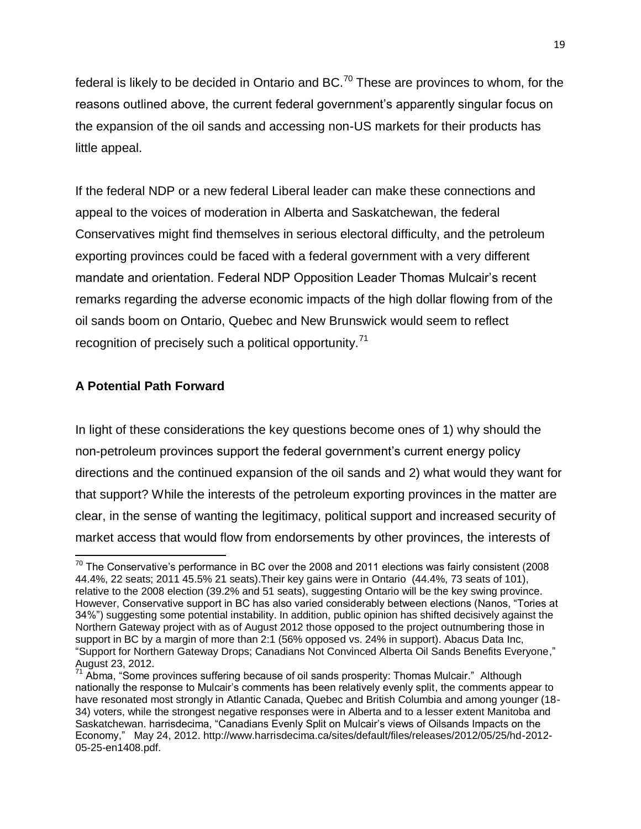federal is likely to be decided in Ontario and BC.<sup>70</sup> These are provinces to whom, for the reasons outlined above, the current federal government's apparently singular focus on the expansion of the oil sands and accessing non-US markets for their products has little appeal.

If the federal NDP or a new federal Liberal leader can make these connections and appeal to the voices of moderation in Alberta and Saskatchewan, the federal Conservatives might find themselves in serious electoral difficulty, and the petroleum exporting provinces could be faced with a federal government with a very different mandate and orientation. Federal NDP Opposition Leader Thomas Mulcair's recent remarks regarding the adverse economic impacts of the high dollar flowing from of the oil sands boom on Ontario, Quebec and New Brunswick would seem to reflect recognition of precisely such a political opportunity. $71$ 

### **A Potential Path Forward**

In light of these considerations the key questions become ones of 1) why should the non-petroleum provinces support the federal government's current energy policy directions and the continued expansion of the oil sands and 2) what would they want for that support? While the interests of the petroleum exporting provinces in the matter are clear, in the sense of wanting the legitimacy, political support and increased security of market access that would flow from endorsements by other provinces, the interests of

 $\overline{a}$  $^{70}$  The Conservative's performance in BC over the 2008 and 2011 elections was fairly consistent (2008 44.4%, 22 seats; 2011 45.5% 21 seats).Their key gains were in Ontario (44.4%, 73 seats of 101), relative to the 2008 election (39.2% and 51 seats), suggesting Ontario will be the key swing province. However, Conservative support in BC has also varied considerably between elections (Nanos, "Tories at 34%") suggesting some potential instability. In addition, public opinion has shifted decisively against the Northern Gateway project with as of August 2012 those opposed to the project outnumbering those in support in BC by a margin of more than 2:1 (56% opposed vs. 24% in support). Abacus Data Inc, "Support for Northern Gateway Drops; Canadians Not Convinced Alberta Oil Sands Benefits Everyone," August 23, 2012.

<sup>&</sup>lt;sup>71</sup> Abma, "Some provinces suffering because of oil sands prosperity: Thomas Mulcair." Although nationally the response to Mulcair's comments has been relatively evenly split, the comments appear to have resonated most strongly in Atlantic Canada, Quebec and British Columbia and among younger (18- 34) voters, while the strongest negative responses were in Alberta and to a lesser extent Manitoba and Saskatchewan. harrisdecima, "Canadians Evenly Split on Mulcair's views of Oilsands Impacts on the Economy," May 24, 2012. http://www.harrisdecima.ca/sites/default/files/releases/2012/05/25/hd-2012- 05-25-en1408.pdf.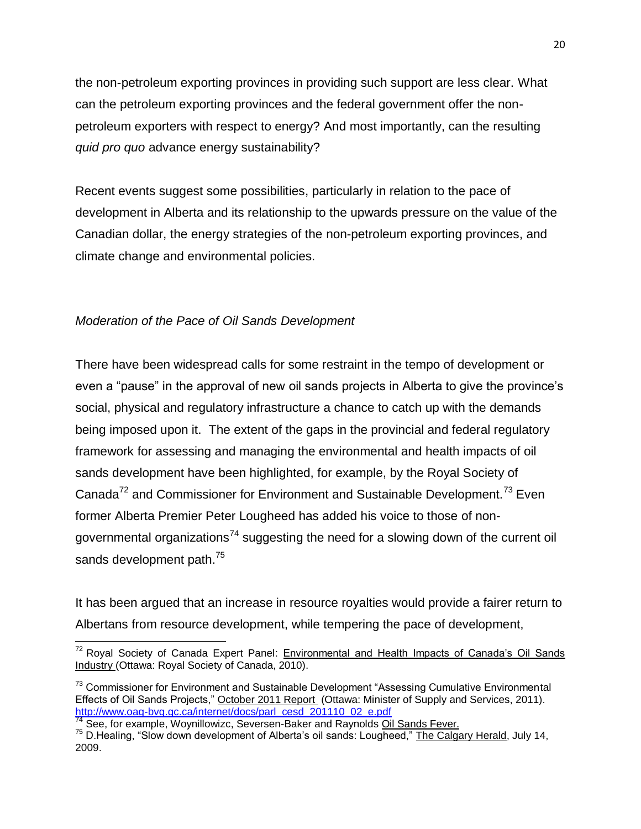the non-petroleum exporting provinces in providing such support are less clear. What can the petroleum exporting provinces and the federal government offer the nonpetroleum exporters with respect to energy? And most importantly, can the resulting *quid pro quo* advance energy sustainability?

Recent events suggest some possibilities, particularly in relation to the pace of development in Alberta and its relationship to the upwards pressure on the value of the Canadian dollar, the energy strategies of the non-petroleum exporting provinces, and climate change and environmental policies.

### *Moderation of the Pace of Oil Sands Development*

There have been widespread calls for some restraint in the tempo of development or even a "pause" in the approval of new oil sands projects in Alberta to give the province's social, physical and regulatory infrastructure a chance to catch up with the demands being imposed upon it. The extent of the gaps in the provincial and federal regulatory framework for assessing and managing the environmental and health impacts of oil sands development have been highlighted, for example, by the Royal Society of Canada<sup>72</sup> and Commissioner for Environment and Sustainable Development.<sup>73</sup> Even former Alberta Premier Peter Lougheed has added his voice to those of nongovernmental organizations<sup>74</sup> suggesting the need for a slowing down of the current oil sands development path.<sup>75</sup>

It has been argued that an increase in resource royalties would provide a fairer return to Albertans from resource development, while tempering the pace of development,

j <sup>72</sup> Royal Society of Canada Expert Panel: Environmental and Health Impacts of Canada's Oil Sands Industry (Ottawa: Royal Society of Canada, 2010).

<sup>&</sup>lt;sup>73</sup> Commissioner for Environment and Sustainable Development "Assessing Cumulative Environmental Effects of Oil Sands Projects," October 2011 Report (Ottawa: Minister of Supply and Services, 2011). [http://www.oag-bvg.gc.ca/internet/docs/parl\\_cesd\\_201110\\_02\\_e.pdf](http://www.oag-bvg.gc.ca/internet/docs/parl_cesd_201110_02_e.pdf)

<sup>&</sup>lt;sup>74</sup> See, for example, Woynillowizc, Seversen-Baker and Raynolds Oil Sands Fever.

<sup>&</sup>lt;sup>75</sup> D. Healing, "Slow down development of Alberta's oil sands: Lougheed," The Calgary Herald, July 14, 2009.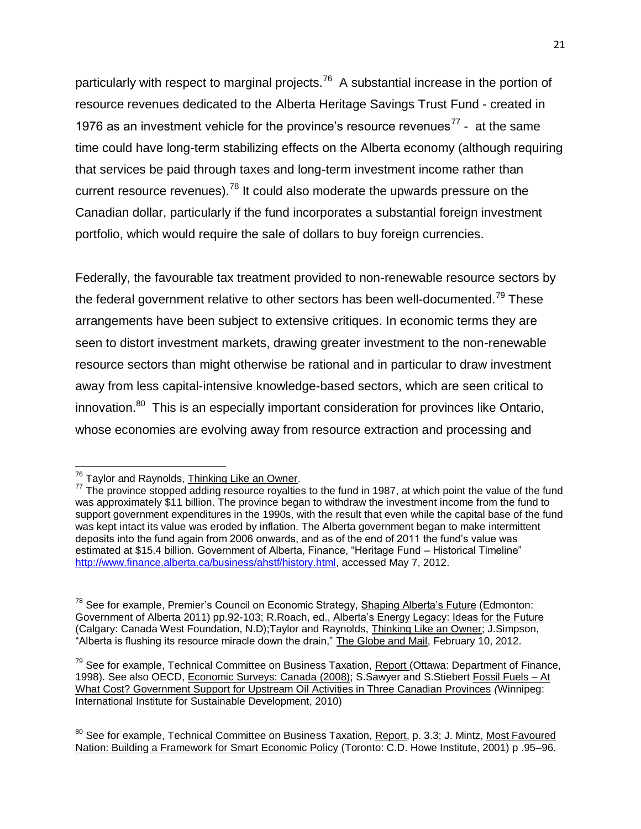particularly with respect to marginal projects.<sup>76</sup> A substantial increase in the portion of resource revenues dedicated to the Alberta Heritage Savings Trust Fund - created in 1976 as an investment vehicle for the province's resource revenues<sup>77</sup> - at the same time could have long-term stabilizing effects on the Alberta economy (although requiring that services be paid through taxes and long-term investment income rather than current resource revenues).<sup>78</sup> It could also moderate the upwards pressure on the Canadian dollar, particularly if the fund incorporates a substantial foreign investment portfolio, which would require the sale of dollars to buy foreign currencies.

Federally, the favourable tax treatment provided to non-renewable resource sectors by the federal government relative to other sectors has been well-documented.<sup>79</sup> These arrangements have been subject to extensive critiques. In economic terms they are seen to distort investment markets, drawing greater investment to the non-renewable resource sectors than might otherwise be rational and in particular to draw investment away from less capital-intensive knowledge-based sectors, which are seen critical to innovation.<sup>80</sup> This is an especially important consideration for provinces like Ontario, whose economies are evolving away from resource extraction and processing and

 $\overline{a}$ <sup>76</sup> Taylor and Raynolds, <u>Thinking Like an Owner</u>.

<sup>&</sup>lt;sup>77</sup> The province stopped adding resource royalties to the fund in 1987, at which point the value of the fund was approximately \$11 billion. The province began to withdraw the investment income from the fund to support government expenditures in the 1990s, with the result that even while the capital base of the fund was kept intact its value was eroded by inflation. The Alberta government began to make intermittent deposits into the fund again from 2006 onwards, and as of the end of 2011 the fund's value was estimated at \$15.4 billion. Government of Alberta, Finance, "Heritage Fund – Historical Timeline" [http://www.finance.alberta.ca/business/ahstf/history.html,](http://www.finance.alberta.ca/business/ahstf/history.html) accessed May 7, 2012.

 $78$  See for example, Premier's Council on Economic Strategy, Shaping Alberta's Future (Edmonton: Government of Alberta 2011) pp.92-103; R.Roach, ed., Alberta's Energy Legacy: Ideas for the Future (Calgary: Canada West Foundation, N.D);Taylor and Raynolds, Thinking Like an Owner; J.Simpson, "Alberta is flushing its resource miracle down the drain," The Globe and Mail, February 10, 2012.

 $79$  See for example, Technical Committee on Business Taxation, Report (Ottawa: Department of Finance, 1998). See also OECD, Economic Surveys: Canada (2008); S.Sawyer and S.Stiebert Fossil Fuels – At What Cost? Government Support for Upstream Oil Activities in Three Canadian Provinces *(*Winnipeg: International Institute for Sustainable Development, 2010)

<sup>&</sup>lt;sup>80</sup> See for example, Technical Committee on Business Taxation, Report, p. 3.3; J. Mintz, Most Favoured Nation: Building a Framework for Smart Economic Policy (Toronto: C.D. Howe Institute, 2001) p .95–96.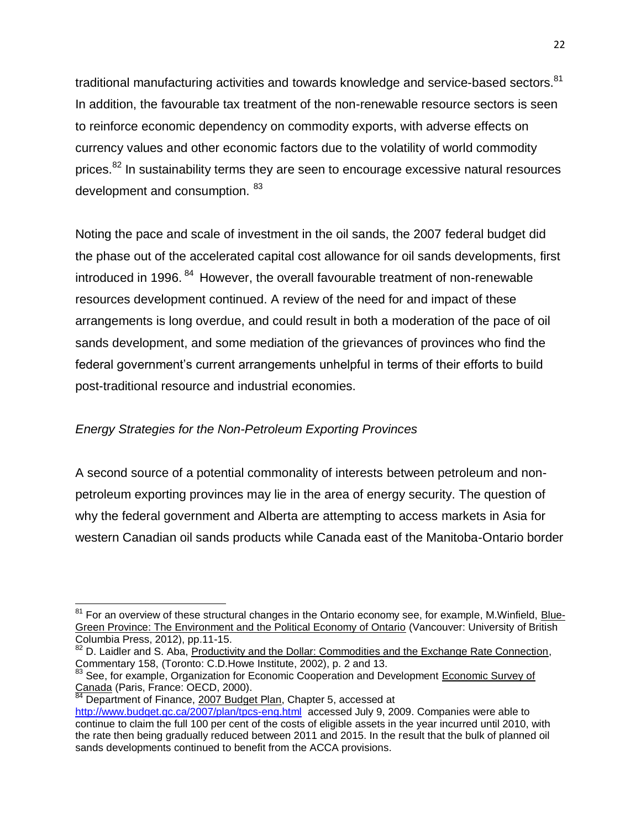traditional manufacturing activities and towards knowledge and service-based sectors.<sup>81</sup> In addition, the favourable tax treatment of the non-renewable resource sectors is seen to reinforce economic dependency on commodity exports, with adverse effects on currency values and other economic factors due to the volatility of world commodity prices.<sup>82</sup> In sustainability terms they are seen to encourage excessive natural resources development and consumption.  $^{83}$ 

Noting the pace and scale of investment in the oil sands, the 2007 federal budget did the phase out of the accelerated capital cost allowance for oil sands developments, first introduced in 1996.<sup>84</sup> However, the overall favourable treatment of non-renewable resources development continued. A review of the need for and impact of these arrangements is long overdue, and could result in both a moderation of the pace of oil sands development, and some mediation of the grievances of provinces who find the federal government's current arrangements unhelpful in terms of their efforts to build post-traditional resource and industrial economies.

# *Energy Strategies for the Non-Petroleum Exporting Provinces*

A second source of a potential commonality of interests between petroleum and nonpetroleum exporting provinces may lie in the area of energy security. The question of why the federal government and Alberta are attempting to access markets in Asia for western Canadian oil sands products while Canada east of the Manitoba-Ontario border

j  $81$  For an overview of these structural changes in the Ontario economy see, for example, M.Winfield, Blue-Green Province: The Environment and the Political Economy of Ontario (Vancouver: University of British Columbia Press, 2012), pp.11-15.

<sup>82</sup> D. Laidler and S. Aba, Productivity and the Dollar: Commodities and the Exchange Rate Connection, Commentary 158, (Toronto: C.D.Howe Institute, 2002), p. 2 and 13.

<sup>&</sup>lt;sup>83</sup> See, for example, Organization for Economic Cooperation and Development Economic Survey of Canada (Paris, France: OECD, 2000).

<sup>84</sup> Department of Finance, 2007 Budget Plan, Chapter 5, accessed at <http://www.budget.gc.ca/2007/plan/tpcs-eng.html>accessed July 9, 2009. Companies were able to continue to claim the full 100 per cent of the costs of eligible assets in the year incurred until 2010, with the rate then being gradually reduced between 2011 and 2015. In the result that the bulk of planned oil sands developments continued to benefit from the ACCA provisions.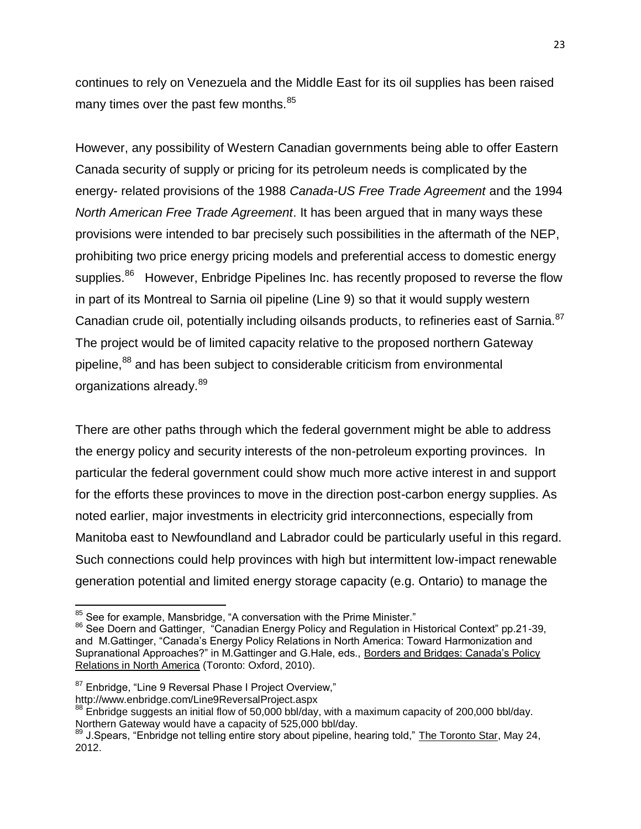continues to rely on Venezuela and the Middle East for its oil supplies has been raised many times over the past few months. $85$ 

However, any possibility of Western Canadian governments being able to offer Eastern Canada security of supply or pricing for its petroleum needs is complicated by the energy- related provisions of the 1988 *Canada-US Free Trade Agreement* and the 1994 *North American Free Trade Agreement*. It has been argued that in many ways these provisions were intended to bar precisely such possibilities in the aftermath of the NEP, prohibiting two price energy pricing models and preferential access to domestic energy supplies.<sup>86</sup> However, Enbridge Pipelines Inc. has recently proposed to reverse the flow in part of its Montreal to Sarnia oil pipeline (Line 9) so that it would supply western Canadian crude oil, potentially including oilsands products, to refineries east of Sarnia. $^{87}$ The project would be of limited capacity relative to the proposed northern Gateway pipeline,<sup>88</sup> and has been subject to considerable criticism from environmental organizations already.<sup>89</sup>

There are other paths through which the federal government might be able to address the energy policy and security interests of the non-petroleum exporting provinces. In particular the federal government could show much more active interest in and support for the efforts these provinces to move in the direction post-carbon energy supplies. As noted earlier, major investments in electricity grid interconnections, especially from Manitoba east to Newfoundland and Labrador could be particularly useful in this regard. Such connections could help provinces with high but intermittent low-impact renewable generation potential and limited energy storage capacity (e.g. Ontario) to manage the

j  $\frac{85}{10}$  See for example, Mansbridge, "A conversation with the Prime Minister."

<sup>86</sup> See Doern and Gattinger, "Canadian Energy Policy and Regulation in Historical Context" pp.21-39, and M.Gattinger, "Canada's Energy Policy Relations in North America: Toward Harmonization and Supranational Approaches?" in M.Gattinger and G.Hale, eds., Borders and Bridges: Canada's Policy Relations in North America (Toronto: Oxford, 2010).

<sup>87</sup> Enbridge, "Line 9 Reversal Phase I Project Overview,"

http://www.enbridge.com/Line9ReversalProject.aspx

 $88$  Enbridge suggests an initial flow of 50,000 bbl/day, with a maximum capacity of 200,000 bbl/day. Northern Gateway would have a capacity of 525,000 bbl/day.

<sup>89</sup> J.Spears, "Enbridge not telling entire story about pipeline, hearing told," The Toronto Star, May 24, 2012.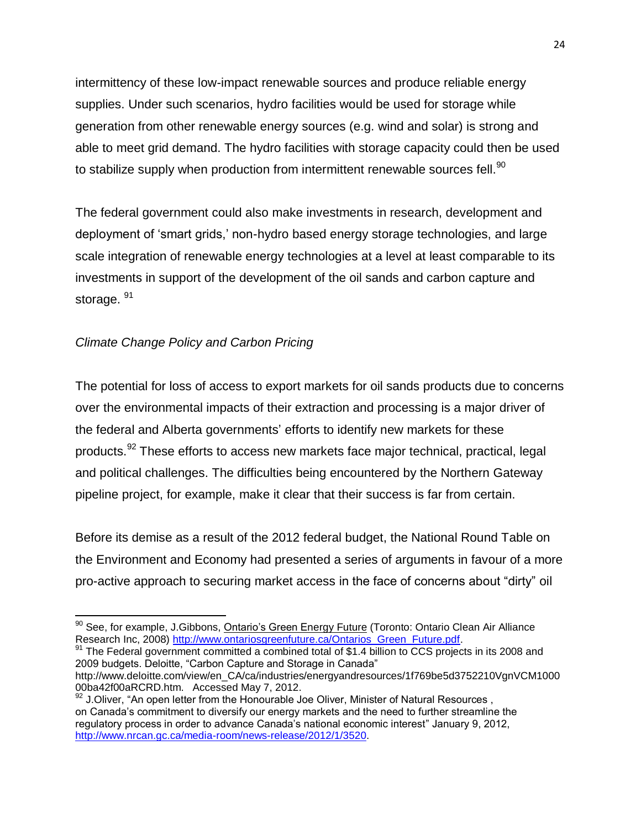intermittency of these low-impact renewable sources and produce reliable energy supplies. Under such scenarios, hydro facilities would be used for storage while generation from other renewable energy sources (e.g. wind and solar) is strong and able to meet grid demand. The hydro facilities with storage capacity could then be used to stabilize supply when production from intermittent renewable sources fell. $^{90}$ 

The federal government could also make investments in research, development and deployment of 'smart grids,' non-hydro based energy storage technologies, and large scale integration of renewable energy technologies at a level at least comparable to its investments in support of the development of the oil sands and carbon capture and storage. 91

## *Climate Change Policy and Carbon Pricing*

l

The potential for loss of access to export markets for oil sands products due to concerns over the environmental impacts of their extraction and processing is a major driver of the federal and Alberta governments' efforts to identify new markets for these products.<sup>92</sup> These efforts to access new markets face major technical, practical, legal and political challenges. The difficulties being encountered by the Northern Gateway pipeline project, for example, make it clear that their success is far from certain.

Before its demise as a result of the 2012 federal budget, the National Round Table on the Environment and Economy had presented a series of arguments in favour of a more pro-active approach to securing market access in the face of concerns about "dirty" oil

91 The Federal government committed a combined total of \$1.4 billion to CCS projects in its 2008 and 2009 budgets. Deloitte, "Carbon Capture and Storage in Canada" http://www.deloitte.com/view/en\_CA/ca/industries/energyandresources/1f769be5d3752210VgnVCM1000

 $90$  See, for example, J.Gibbons, Ontario's Green Energy Future (Toronto: Ontario Clean Air Alliance Research Inc, 2008) [http://www.ontariosgreenfuture.ca/Ontarios\\_Green\\_Future.pdf.](http://www.ontariosgreenfuture.ca/Ontarios_Green_Future.pdf)

<sup>00</sup>ba42f00aRCRD.htm. Accessed May 7, 2012.

 $92$  J.Oliver, "An open letter from the Honourable Joe Oliver, Minister of Natural Resources, on Canada's commitment to diversify our energy markets and the need to further streamline the regulatory process in order to advance Canada's national economic interest" January 9, 2012, [http://www.nrcan.gc.ca/media-room/news-release/2012/1/3520.](http://www.nrcan.gc.ca/media-room/news-release/2012/1/3520)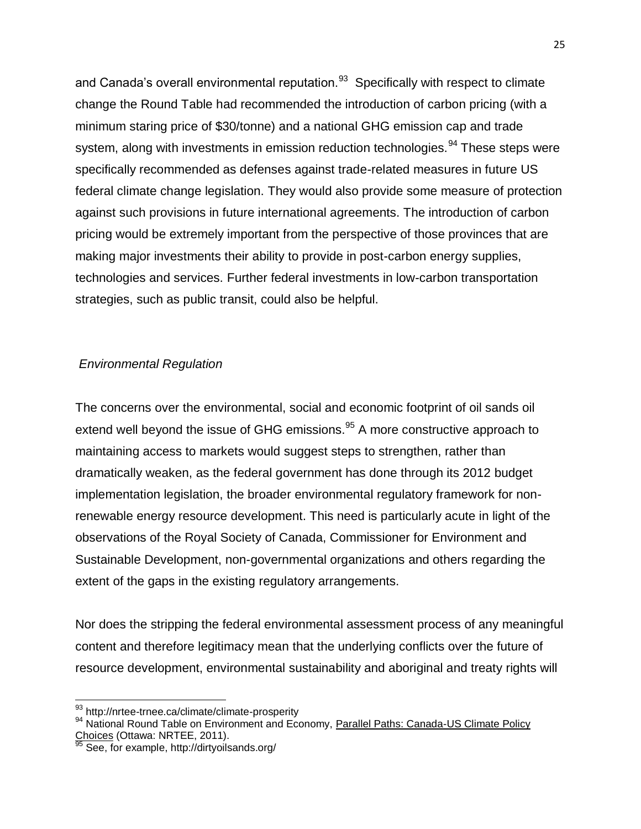and Canada's overall environmental reputation.<sup>93</sup> Specifically with respect to climate change the Round Table had recommended the introduction of carbon pricing (with a minimum staring price of \$30/tonne) and a national GHG emission cap and trade system, along with investments in emission reduction technologies.<sup>94</sup> These steps were specifically recommended as defenses against trade-related measures in future US federal climate change legislation. They would also provide some measure of protection against such provisions in future international agreements. The introduction of carbon pricing would be extremely important from the perspective of those provinces that are making major investments their ability to provide in post-carbon energy supplies, technologies and services. Further federal investments in low-carbon transportation strategies, such as public transit, could also be helpful.

#### *Environmental Regulation*

The concerns over the environmental, social and economic footprint of oil sands oil extend well beyond the issue of GHG emissions.<sup>95</sup> A more constructive approach to maintaining access to markets would suggest steps to strengthen, rather than dramatically weaken, as the federal government has done through its 2012 budget implementation legislation, the broader environmental regulatory framework for nonrenewable energy resource development. This need is particularly acute in light of the observations of the Royal Society of Canada, Commissioner for Environment and Sustainable Development, non-governmental organizations and others regarding the extent of the gaps in the existing regulatory arrangements.

Nor does the stripping the federal environmental assessment process of any meaningful content and therefore legitimacy mean that the underlying conflicts over the future of resource development, environmental sustainability and aboriginal and treaty rights will

j

<sup>&</sup>lt;sup>93</sup> http://nrtee-trnee.ca/climate/climate-prosperity

<sup>&</sup>lt;sup>94</sup> National Round Table on Environment and Economy, Parallel Paths: Canada-US Climate Policy Choices (Ottawa: NRTEE, 2011).<br><sup>95</sup> See far the way

See, for example, http://dirtyoilsands.org/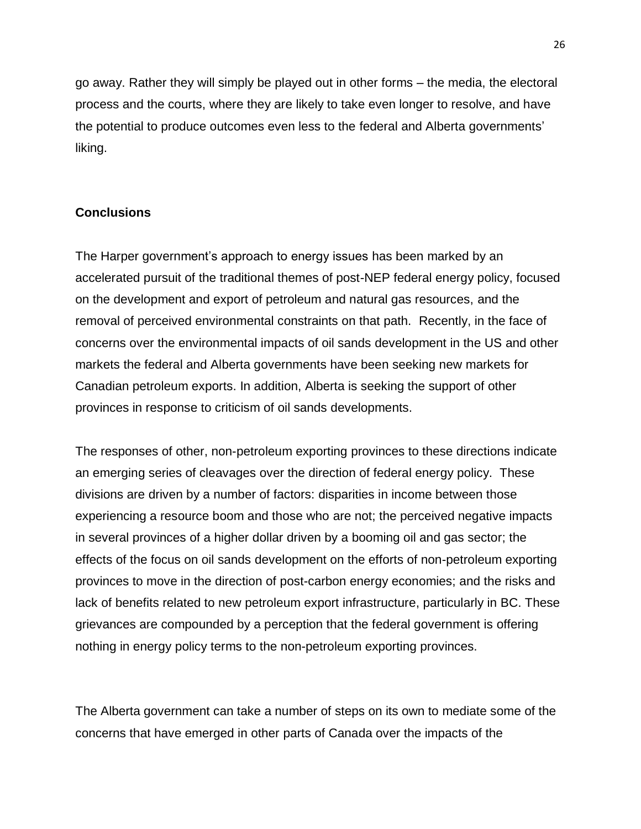go away. Rather they will simply be played out in other forms – the media, the electoral process and the courts, where they are likely to take even longer to resolve, and have the potential to produce outcomes even less to the federal and Alberta governments' liking.

#### **Conclusions**

The Harper government's approach to energy issues has been marked by an accelerated pursuit of the traditional themes of post-NEP federal energy policy, focused on the development and export of petroleum and natural gas resources, and the removal of perceived environmental constraints on that path. Recently, in the face of concerns over the environmental impacts of oil sands development in the US and other markets the federal and Alberta governments have been seeking new markets for Canadian petroleum exports. In addition, Alberta is seeking the support of other provinces in response to criticism of oil sands developments.

The responses of other, non-petroleum exporting provinces to these directions indicate an emerging series of cleavages over the direction of federal energy policy. These divisions are driven by a number of factors: disparities in income between those experiencing a resource boom and those who are not; the perceived negative impacts in several provinces of a higher dollar driven by a booming oil and gas sector; the effects of the focus on oil sands development on the efforts of non-petroleum exporting provinces to move in the direction of post-carbon energy economies; and the risks and lack of benefits related to new petroleum export infrastructure, particularly in BC. These grievances are compounded by a perception that the federal government is offering nothing in energy policy terms to the non-petroleum exporting provinces.

The Alberta government can take a number of steps on its own to mediate some of the concerns that have emerged in other parts of Canada over the impacts of the